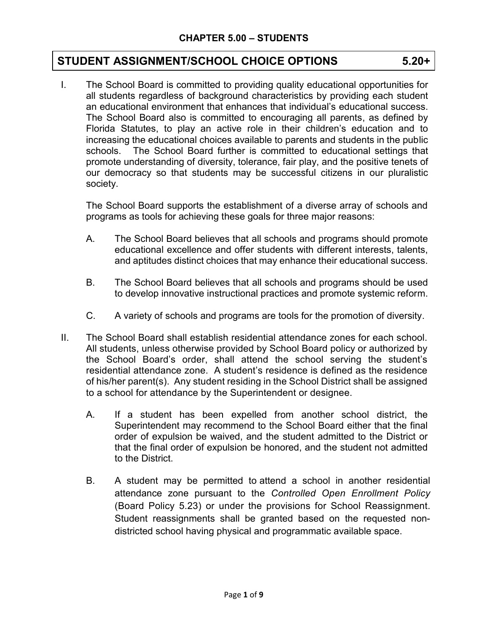# **STUDENT ASSIGNMENT/SCHOOL CHOICE OPTIONS 5.20+**

<u> 1989 - Johann Stein, marwolaethau a bhann an t-Albann an t-Albann an t-Albann an t-Albann an t-Albann an t-Al</u> I. The School Board is committed to providing quality educational opportunities for all students regardless of background characteristics by providing each student an educational environment that enhances that individual's educational success. The School Board also is committed to encouraging all parents, as defined by Florida Statutes, to play an active role in their children's education and to increasing the educational choices available to parents and students in the public schools. The School Board further is committed to educational settings that promote understanding of diversity, tolerance, fair play, and the positive tenets of our democracy so that students may be successful citizens in our pluralistic society.

The School Board supports the establishment of a diverse array of schools and programs as tools for achieving these goals for three major reasons:

- A. The School Board believes that all schools and programs should promote educational excellence and offer students with different interests, talents, and aptitudes distinct choices that may enhance their educational success.
- B. The School Board believes that all schools and programs should be used to develop innovative instructional practices and promote systemic reform.
- C. A variety of schools and programs are tools for the promotion of diversity.
- II. The School Board shall establish residential attendance zones for each school. All students, unless otherwise provided by School Board policy or authorized by the School Board's order, shall attend the school serving the student's residential attendance zone. A student's residence is defined as the residence of his/her parent(s). Any student residing in the School District shall be assigned to a school for attendance by the Superintendent or designee.
	- A. If a student has been expelled from another school district, the Superintendent may recommend to the School Board either that the final order of expulsion be waived, and the student admitted to the District or that the final order of expulsion be honored, and the student not admitted to the District.
	- B. A student may be permitted to attend a school in another residential attendance zone pursuant to the *Controlled Open Enrollment Policy* (Board Policy 5.23) or under the provisions for School Reassignment. Student reassignments shall be granted based on the requested nondistricted school having physical and programmatic available space.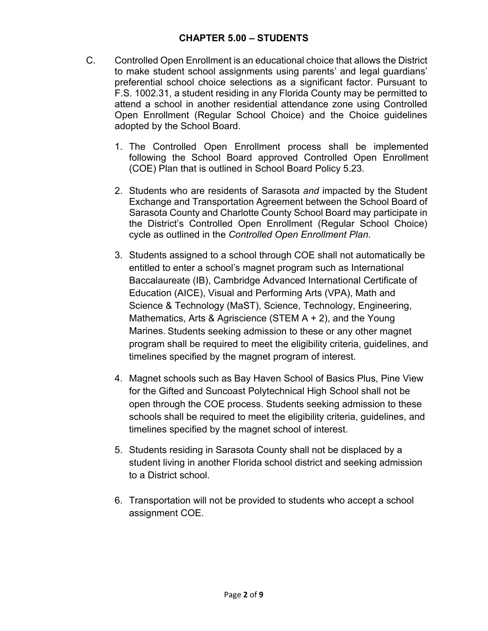- C. Controlled Open Enrollment is an educational choice that allows the District to make student school assignments using parents' and legal guardians' preferential school choice selections as a significant factor. Pursuant to F.S. 1002.31, a student residing in any Florida County may be permitted to attend a school in another residential attendance zone using Controlled Open Enrollment (Regular School Choice) and the Choice guidelines adopted by the School Board.
	- 1. The Controlled Open Enrollment process shall be implemented following the School Board approved Controlled Open Enrollment (COE) Plan that is outlined in School Board Policy 5.23.
	- 2. Students who are residents of Sarasota *and* impacted by the Student Exchange and Transportation Agreement between the School Board of Sarasota County and Charlotte County School Board may participate in the District's Controlled Open Enrollment (Regular School Choice) cycle as outlined in the *Controlled Open Enrollment Plan*.
	- 3. Students assigned to a school through COE shall not automatically be entitled to enter a school's magnet program such as International Baccalaureate (IB), Cambridge Advanced International Certificate of Education (AICE), Visual and Performing Arts (VPA), Math and Science & Technology (MaST), Science, Technology, Engineering, Mathematics, Arts & Agriscience (STEM A + 2), and the Young Marines. Students seeking admission to these or any other magnet program shall be required to meet the eligibility criteria, guidelines, and timelines specified by the magnet program of interest.
	- 4. Magnet schools such as Bay Haven School of Basics Plus, Pine View for the Gifted and Suncoast Polytechnical High School shall not be open through the COE process. Students seeking admission to these schools shall be required to meet the eligibility criteria, guidelines, and timelines specified by the magnet school of interest.
	- 5. Students residing in Sarasota County shall not be displaced by a student living in another Florida school district and seeking admission to a District school.
	- 6. Transportation will not be provided to students who accept a school assignment COE.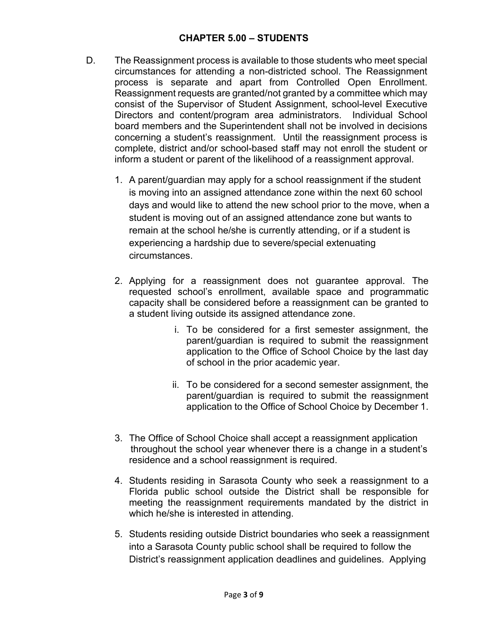- D. The Reassignment process is available to those students who meet special circumstances for attending a non-districted school. The Reassignment process is separate and apart from Controlled Open Enrollment. Reassignment requests are granted/not granted by a committee which may consist of the Supervisor of Student Assignment, school-level Executive Directors and content/program area administrators. Individual School board members and the Superintendent shall not be involved in decisions concerning a student's reassignment. Until the reassignment process is complete, district and/or school-based staff may not enroll the student or inform a student or parent of the likelihood of a reassignment approval.
	- 1. A parent/guardian may apply for a school reassignment if the student is moving into an assigned attendance zone within the next 60 school days and would like to attend the new school prior to the move, when a student is moving out of an assigned attendance zone but wants to remain at the school he/she is currently attending, or if a student is experiencing a hardship due to severe/special extenuating circumstances.
	- 2. Applying for a reassignment does not guarantee approval. The requested school's enrollment, available space and programmatic capacity shall be considered before a reassignment can be granted to a student living outside its assigned attendance zone.
		- i. To be considered for a first semester assignment, the parent/guardian is required to submit the reassignment application to the Office of School Choice by the last day of school in the prior academic year.
		- ii. To be considered for a second semester assignment, the parent/guardian is required to submit the reassignment application to the Office of School Choice by December 1.
	- 3. The Office of School Choice shall accept a reassignment application throughout the school year whenever there is a change in a student's residence and a school reassignment is required.
	- 4. Students residing in Sarasota County who seek a reassignment to a Florida public school outside the District shall be responsible for meeting the reassignment requirements mandated by the district in which he/she is interested in attending.
	- 5. Students residing outside District boundaries who seek a reassignment into a Sarasota County public school shall be required to follow the District's reassignment application deadlines and guidelines. Applying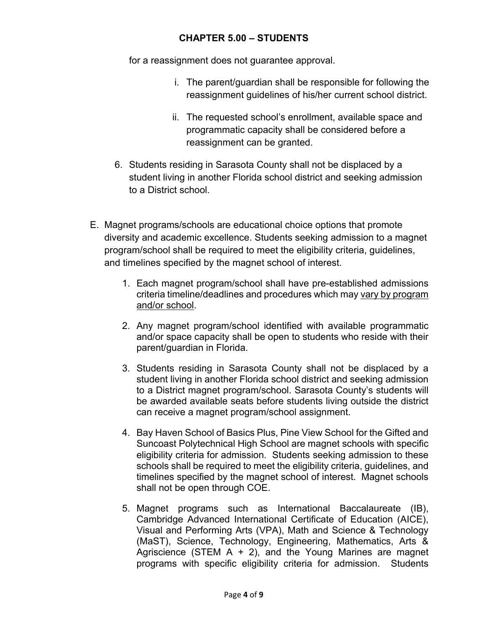for a reassignment does not guarantee approval.

- i. The parent/guardian shall be responsible for following the reassignment guidelines of his/her current school district.
- ii. The requested school's enrollment, available space and programmatic capacity shall be considered before a reassignment can be granted.
- 6. Students residing in Sarasota County shall not be displaced by a student living in another Florida school district and seeking admission to a District school.
- E. Magnet programs/schools are educational choice options that promote diversity and academic excellence. Students seeking admission to a magnet program/school shall be required to meet the eligibility criteria, guidelines, and timelines specified by the magnet school of interest.
	- 1. Each magnet program/school shall have pre-established admissions criteria timeline/deadlines and procedures which may vary by program and/or school.
	- 2. Any magnet program/school identified with available programmatic and/or space capacity shall be open to students who reside with their parent/guardian in Florida.
	- 3. Students residing in Sarasota County shall not be displaced by a student living in another Florida school district and seeking admission to a District magnet program/school. Sarasota County's students will be awarded available seats before students living outside the district can receive a magnet program/school assignment.
	- 4. Bay Haven School of Basics Plus, Pine View School for the Gifted and Suncoast Polytechnical High School are magnet schools with specific eligibility criteria for admission. Students seeking admission to these schools shall be required to meet the eligibility criteria, guidelines, and timelines specified by the magnet school of interest. Magnet schools shall not be open through COE.
	- 5. Magnet programs such as International Baccalaureate (IB), Cambridge Advanced International Certificate of Education (AICE), Visual and Performing Arts (VPA), Math and Science & Technology (MaST), Science, Technology, Engineering, Mathematics, Arts & Agriscience (STEM  $A + 2$ ), and the Young Marines are magnet programs with specific eligibility criteria for admission. Students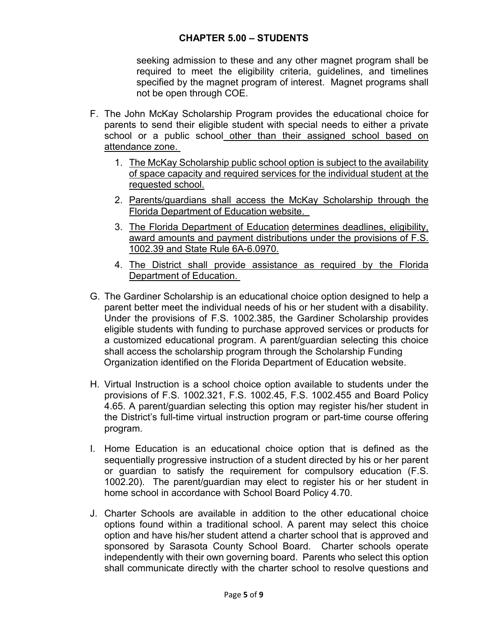seeking admission to these and any other magnet program shall be required to meet the eligibility criteria, guidelines, and timelines specified by the magnet program of interest. Magnet programs shall not be open through COE.

- F. The John McKay Scholarship Program provides the educational choice for parents to send their eligible student with special needs to either a private school or a public school other than their assigned school based on attendance zone.
	- 1. The McKay Scholarship public school option is subject to the availability of space capacity and required services for the individual student at the requested school.
	- 2. Parents/guardians shall access the McKay Scholarship through the Florida Department of Education website.
	- 3. The Florida Department of Education determines deadlines, eligibility, award amounts and payment distributions under the provisions of F.S. 1002.39 and State Rule 6A-6.0970.
	- 4. The District shall provide assistance as required by the Florida Department of Education.
- G. The Gardiner Scholarship is an educational choice option designed to help a parent better meet the individual needs of his or her student with a disability. Under the provisions of F.S. 1002.385, the Gardiner Scholarship provides eligible students with funding to purchase approved services or products for a customized educational program. A parent/guardian selecting this choice shall access the scholarship program through the Scholarship Funding Organization identified on the Florida Department of Education website.
- H. Virtual Instruction is a school choice option available to students under the provisions of F.S. 1002.321, F.S. 1002.45, F.S. 1002.455 and Board Policy 4.65. A parent/guardian selecting this option may register his/her student in the District's full-time virtual instruction program or part-time course offering program.
- I. Home Education is an educational choice option that is defined as the sequentially progressive instruction of a student directed by his or her parent or guardian to satisfy the requirement for compulsory education (F.S. 1002.20). The parent/guardian may elect to register his or her student in home school in accordance with School Board Policy 4.70.
- J. Charter Schools are available in addition to the other educational choice options found within a traditional school. A parent may select this choice option and have his/her student attend a charter school that is approved and sponsored by Sarasota County School Board. Charter schools operate independently with their own governing board. Parents who select this option shall communicate directly with the charter school to resolve questions and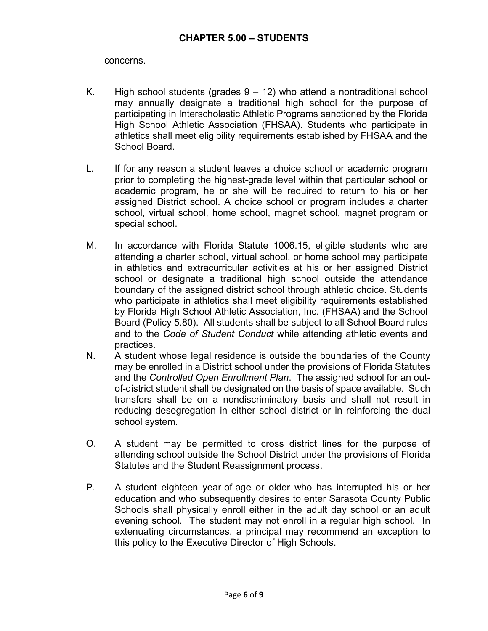concerns.

- K. High school students (grades  $9 12$ ) who attend a nontraditional school may annually designate a traditional high school for the purpose of participating in Interscholastic Athletic Programs sanctioned by the Florida High School Athletic Association (FHSAA). Students who participate in athletics shall meet eligibility requirements established by FHSAA and the School Board.
- L. If for any reason a student leaves a choice school or academic program prior to completing the highest-grade level within that particular school or academic program, he or she will be required to return to his or her assigned District school. A choice school or program includes a charter school, virtual school, home school, magnet school, magnet program or special school.
- M. In accordance with Florida Statute 1006.15, eligible students who are attending a charter school, virtual school, or home school may participate in athletics and extracurricular activities at his or her assigned District school or designate a traditional high school outside the attendance boundary of the assigned district school through athletic choice. Students who participate in athletics shall meet eligibility requirements established by Florida High School Athletic Association, Inc. (FHSAA) and the School Board (Policy 5.80). All students shall be subject to all School Board rules and to the *Code of Student Conduct* while attending athletic events and practices.
- N. A student whose legal residence is outside the boundaries of the County may be enrolled in a District school under the provisions of Florida Statutes and the *Controlled Open Enrollment Plan*. The assigned school for an outof-district student shall be designated on the basis of space available. Such transfers shall be on a nondiscriminatory basis and shall not result in reducing desegregation in either school district or in reinforcing the dual school system.
- O. A student may be permitted to cross district lines for the purpose of attending school outside the School District under the provisions of Florida Statutes and the Student Reassignment process.
- P. A student eighteen year of age or older who has interrupted his or her education and who subsequently desires to enter Sarasota County Public Schools shall physically enroll either in the adult day school or an adult evening school. The student may not enroll in a regular high school. In extenuating circumstances, a principal may recommend an exception to this policy to the Executive Director of High Schools.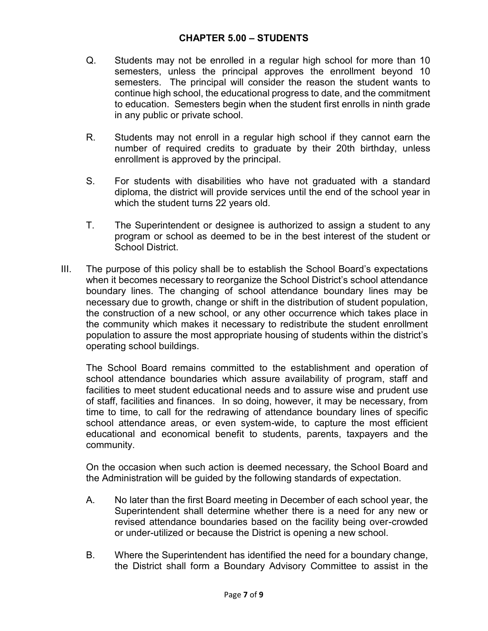- Q. Students may not be enrolled in a regular high school for more than 10 semesters, unless the principal approves the enrollment beyond 10 semesters. The principal will consider the reason the student wants to continue high school, the educational progress to date, and the commitment to education. Semesters begin when the student first enrolls in ninth grade in any public or private school.
- R. Students may not enroll in a regular high school if they cannot earn the number of required credits to graduate by their 20th birthday, unless enrollment is approved by the principal.
- S. For students with disabilities who have not graduated with a standard diploma, the district will provide services until the end of the school year in which the student turns 22 years old.
- T. The Superintendent or designee is authorized to assign a student to any program or school as deemed to be in the best interest of the student or School District.
- III. The purpose of this policy shall be to establish the School Board's expectations when it becomes necessary to reorganize the School District's school attendance boundary lines. The changing of school attendance boundary lines may be necessary due to growth, change or shift in the distribution of student population, the construction of a new school, or any other occurrence which takes place in the community which makes it necessary to redistribute the student enrollment population to assure the most appropriate housing of students within the district's operating school buildings.

The School Board remains committed to the establishment and operation of school attendance boundaries which assure availability of program, staff and facilities to meet student educational needs and to assure wise and prudent use of staff, facilities and finances. In so doing, however, it may be necessary, from time to time, to call for the redrawing of attendance boundary lines of specific school attendance areas, or even system-wide, to capture the most efficient educational and economical benefit to students, parents, taxpayers and the community.

On the occasion when such action is deemed necessary, the School Board and the Administration will be guided by the following standards of expectation.

- A. No later than the first Board meeting in December of each school year, the Superintendent shall determine whether there is a need for any new or revised attendance boundaries based on the facility being over-crowded or under-utilized or because the District is opening a new school.
- B. Where the Superintendent has identified the need for a boundary change, the District shall form a Boundary Advisory Committee to assist in the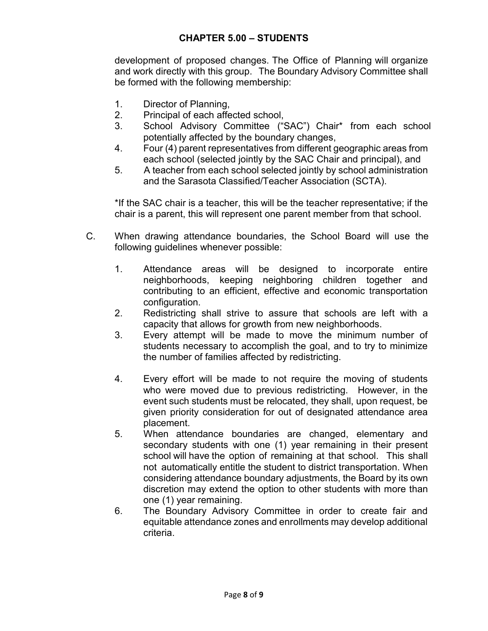development of proposed changes. The Office of Planning will organize and work directly with this group. The Boundary Advisory Committee shall be formed with the following membership:

- 1. Director of Planning,
- 2. Principal of each affected school,
- 3. School Advisory Committee ("SAC") Chair\* from each school potentially affected by the boundary changes,
- 4. Four (4) parent representatives from different geographic areas from each school (selected jointly by the SAC Chair and principal), and
- 5. A teacher from each school selected jointly by school administration and the Sarasota Classified/Teacher Association (SCTA).

\*If the SAC chair is a teacher, this will be the teacher representative; if the chair is a parent, this will represent one parent member from that school.

- C. When drawing attendance boundaries, the School Board will use the following guidelines whenever possible:
	- 1. Attendance areas will be designed to incorporate entire neighborhoods, keeping neighboring children together and contributing to an efficient, effective and economic transportation configuration.
	- 2. Redistricting shall strive to assure that schools are left with a capacity that allows for growth from new neighborhoods.
	- 3. Every attempt will be made to move the minimum number of students necessary to accomplish the goal, and to try to minimize the number of families affected by redistricting.
	- 4. Every effort will be made to not require the moving of students who were moved due to previous redistricting. However, in the event such students must be relocated, they shall, upon request, be given priority consideration for out of designated attendance area placement.
	- 5. When attendance boundaries are changed, elementary and secondary students with one (1) year remaining in their present school will have the option of remaining at that school. This shall not automatically entitle the student to district transportation. When considering attendance boundary adjustments, the Board by its own discretion may extend the option to other students with more than one (1) year remaining.
	- 6. The Boundary Advisory Committee in order to create fair and equitable attendance zones and enrollments may develop additional criteria.